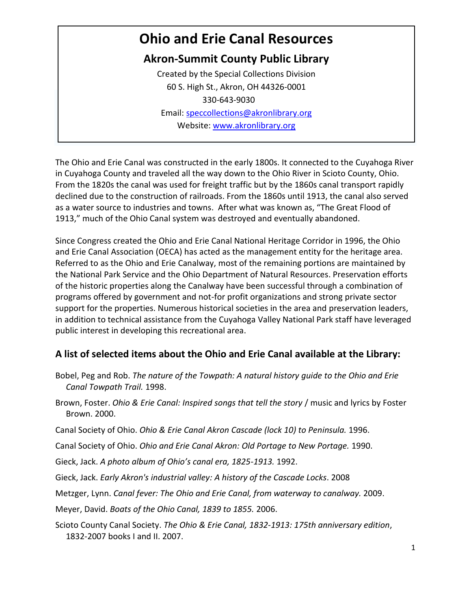# **Ohio and Erie Canal Resources**

# **Akron-Summit County Public Library**

Created by the Special Collections Division 60 S. High St., Akron, OH 44326-0001 330-643-9030 Email: [speccollections@akronlibrary.org](mailto:speccollections@akronlibrary.org) Website: [www.akronlibrary.org](http://www.akronlibrary.org/)

The Ohio and Erie Canal was constructed in the early 1800s. It connected to the Cuyahoga River in Cuyahoga County and traveled all the way down to the Ohio River in Scioto County, Ohio. From the 1820s the canal was used for freight traffic but by the 1860s canal transport rapidly declined due to the construction of railroads. From the 1860s until 1913, the canal also served as a water source to industries and towns. After what was known as, "The Great Flood of 1913," much of the Ohio Canal system was destroyed and eventually abandoned.

Since Congress created the Ohio and Erie Canal National Heritage Corridor in 1996, the Ohio and Erie Canal Association (OECA) has acted as the management entity for the heritage area. Referred to as the Ohio and Erie Canalway, most of the remaining portions are maintained by the National Park Service and the Ohio Department of Natural Resources. Preservation efforts of the historic properties along the Canalway have been successful through a combination of programs offered by government and not-for profit organizations and strong private sector support for the properties. Numerous historical societies in the area and preservation leaders, in addition to technical assistance from the Cuyahoga Valley National Park staff have leveraged public interest in developing this recreational area.

#### **A list of selected items about the Ohio and Erie Canal available at the Library:**

- Bobel, Peg and Rob. *The nature of the Towpath: A natural history guide to the Ohio and Erie Canal Towpath Trail.* 1998.
- Brown, Foster. *Ohio & Erie Canal: [Inspired songs that tell the story](http://encore.akronlibrary.org/iii/encore/record/C__Rb1311146__Sohio%20and%20erie%20canal__P0%2C10__Orightresult__X5?lang=eng&suite=def)* / music and lyrics by Foster Brown. 2000.
- Canal Society of Ohio. *[Ohio & Erie Canal Akron Cascade \(lock 10\) to Peninsula.](http://encore.akronlibrary.org/iii/encore/record/C__Rb1406428__Sohio%20and%20erie%20canal__P0%2C19__Orightresult__X5?lang=eng&suite=def)* 1996.
- Canal Society of Ohio. *Ohio and Erie Canal Akron: Old Portage to New Portage.* 1990.
- Gieck, Jack. *A photo album of Ohio's canal era, 1825-1913.* 1992.
- Gieck, Jack. *[Early Akron's industrial valley: A](http://encore.akronlibrary.org/iii/encore/record/C__Rb1473473__Sindustrial%20valley%20cascade__Orightresult__X2;jsessionid=540184AAD615E1B7C5AA5B5E9CB6B5C6?lang=eng&suite=def) history of the Cascade Locks*. 2008
- Metzger, Lynn. *Canal fever: The Ohio and Erie Canal, from waterway to canalway.* 2009.
- Meyer, David. *Boats of the Ohio Canal, 1839 to 1855.* 2006.
- Scioto County Canal Society. *[The Ohio & Erie Canal, 1832-1913:](http://encore.akronlibrary.org/iii/encore/record/C__Rb1619896__Sohio%20and%20erie%20canal__P0%2C3__Orightresult__X5?lang=eng&suite=def) 175th anniversary edition*,  [1832-2007 books I](http://encore.akronlibrary.org/iii/encore/record/C__Rb1619896__Sohio%20and%20erie%20canal__P0%2C3__Orightresult__X5?lang=eng&suite=def) and II. 2007.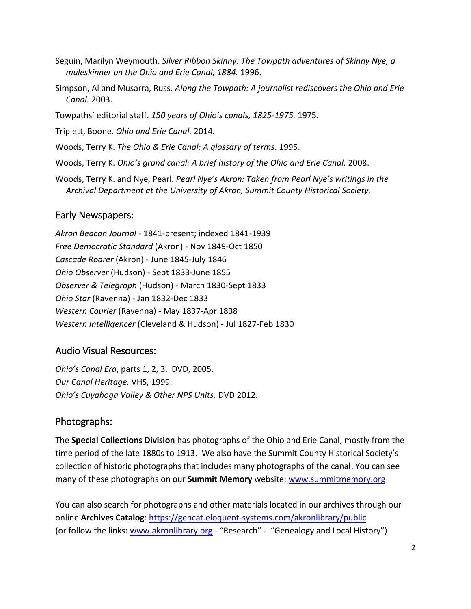- Seguin, Marilyn Weymouth. *Silver Ribbon Skinny: The Towpath adventures of Skinny Nye, a muleskinner on the Ohio and Erie Canal, 1884.* 1996.
- Simpson, Al and Musarra, Russ. *Along the Towpath: A journalist rediscovers the Ohio and Erie Canal.* 2003.
- Towpaths' editorial staff. *150 years of Ohio's canals, 1825-1975.* 1975.

[Triplett, Boone.](http://encore.akronlibrary.org/iii/encore/search/C__STriplett%2C%20Boone.__Orightresult?lang=eng&suite=def) *[Ohio and Erie Canal.](http://encore.akronlibrary.org/iii/encore/record/C__Rb1831238__Sohio%20and%20erie%20canal__Orightresult__X5?lang=eng&suite=def)* 2014.

Woods, Terry K. *The Ohio & Erie Canal: A glossary of terms*. 1995.

Woods, Terry K. *Ohio's grand canal: A brief history of the Ohio and Erie Canal.* 2008.

Woods, Terry K. and Nye, Pearl. *Pearl Nye's Akron: Taken from Pearl Nye's writings in the Archival Department at the University of Akron, Summit County Historical Society.*

### Early Newspapers:

*Akron Beacon Journal -* 1841-present; indexed 1841-1939 *Free Democratic Standard* (Akron) - Nov 1849-Oct 1850 *Cascade Roarer* (Akron) - June 1845-July 1846 *Ohio Observer* (Hudson) - Sept 1833-June 1855 *Observer & Telegraph* (Hudson) - March 1830-Sept 1833 *Ohio Star* (Ravenna) - Jan 1832-Dec 1833 *Western Courier* (Ravenna) - May 1837-Apr 1838 *Western Intelligencer* (Cleveland & Hudson) - Jul 1827-Feb 1830

## Audio Visual Resources:

*Ohio's Canal Era*, parts 1, 2, 3. DVD, 2005. *Our Canal Heritage.* VHS, 1999. *Ohio's Cuyahoga Valley & Other NPS Units.* DVD 2012.

#### Photographs:

The **Special Collections Division** has photographs of the Ohio and Erie Canal, mostly from the time period of the late 1880s to 1913. We also have the Summit County Historical Society's collection of historic photographs that includes many photographs of the canal. You can see many of these photographs on our **Summit Memory** website: [www.summitmemory.org](http://www.summitmemory.org/)

You can also search for photographs and other materials located in our archives through our online **Archives Catalog**[: https://gencat.eloquent-systems.com/akronlibrary/public](https://gencat.eloquent-systems.com/akronlibrary/public) (or follow the links: [www.akronlibrary.org](http://www.akronlibrary.org/) - "Research" - "Genealogy and Local History")